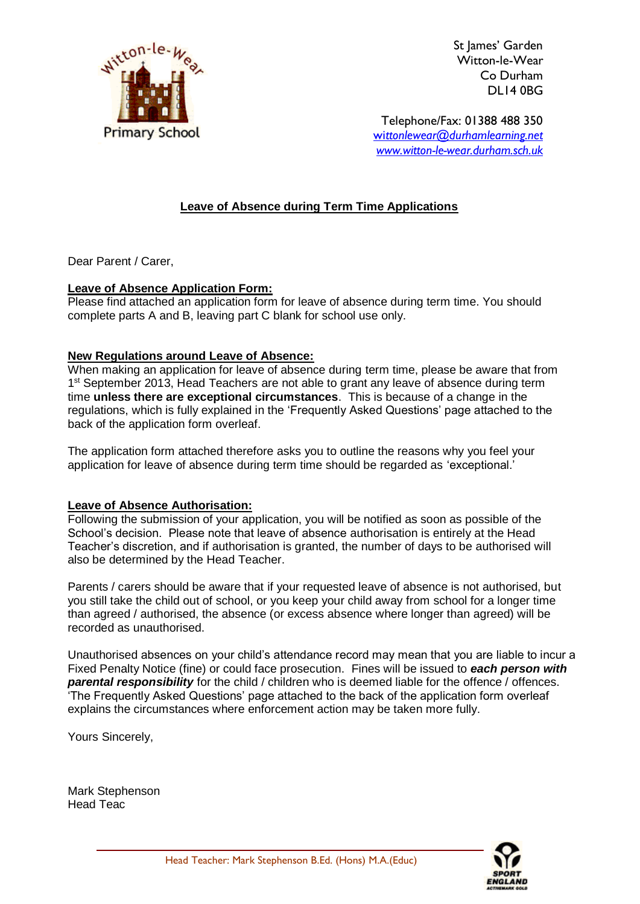

St lames' Garden Witton-le-Wear Co Durham DL14 0BG

Telephone/Fax: 01388 488 350 wi*[ttonlewear@durhamlearning.net](mailto:wittonlewear@durhamlearning.net) [www.witton-le-wear.durham.sch.uk](http://www.witton-le-wear.durham.sch.uk/)*

## **Leave of Absence during Term Time Applications**

Dear Parent / Carer,

## **Leave of Absence Application Form:**

Please find attached an application form for leave of absence during term time. You should complete parts A and B, leaving part C blank for school use only.

## **New Regulations around Leave of Absence:**

When making an application for leave of absence during term time, please be aware that from 1<sup>st</sup> September 2013, Head Teachers are not able to grant any leave of absence during term time **unless there are exceptional circumstances**. This is because of a change in the regulations, which is fully explained in the 'Frequently Asked Questions' page attached to the back of the application form overleaf.

The application form attached therefore asks you to outline the reasons why you feel your application for leave of absence during term time should be regarded as 'exceptional.'

## **Leave of Absence Authorisation:**

Following the submission of your application, you will be notified as soon as possible of the School's decision. Please note that leave of absence authorisation is entirely at the Head Teacher's discretion, and if authorisation is granted, the number of days to be authorised will also be determined by the Head Teacher.

Parents / carers should be aware that if your requested leave of absence is not authorised, but you still take the child out of school, or you keep your child away from school for a longer time than agreed / authorised, the absence (or excess absence where longer than agreed) will be recorded as unauthorised.

Unauthorised absences on your child's attendance record may mean that you are liable to incur a Fixed Penalty Notice (fine) or could face prosecution. Fines will be issued to *each person with parental responsibility* for the child / children who is deemed liable for the offence / offences. 'The Frequently Asked Questions' page attached to the back of the application form overleaf explains the circumstances where enforcement action may be taken more fully.

Yours Sincerely,

Mark Stephenson Head Teac